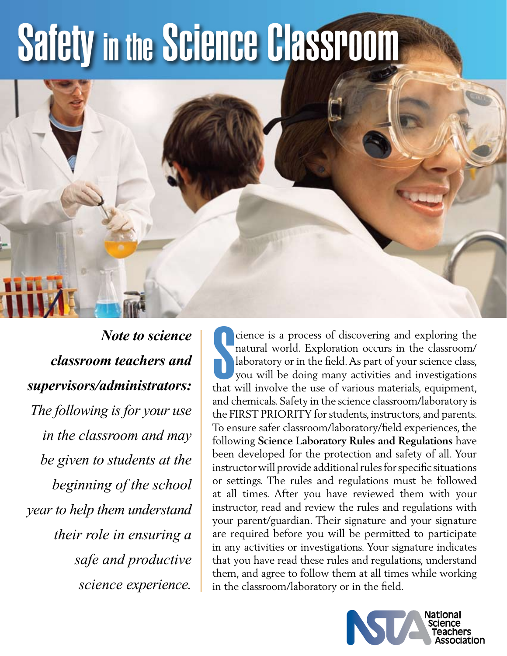# Safety in the Science Classroom



*Note to science classroom teachers and supervisors/administrators: The following is for your use in the classroom and may be given to students at the beginning of the school year to help them understand their role in ensuring a safe and productive science experience.*

Consider the use of discovering and exploring the natural world. Exploration occurs in the classroom/<br>laboratory or in the field. As part of your science class, you will be doing many activities and investigations<br>that wil cience is a process of discovering and exploring the natural world. Exploration occurs in the classroom/ laboratory or in the field. As part of your science class, you will be doing many activities and investigations and chemicals. Safety in the science classroom/laboratory is the FIRST PRIORITY for students, instructors, and parents. To ensure safer classroom/laboratory/field experiences, the following **Science Laboratory Rules and Regulations** have been developed for the protection and safety of all. Your instructor will provide additional rules for specific situations or settings. The rules and regulations must be followed at all times. After you have reviewed them with your instructor, read and review the rules and regulations with your parent/guardian. Their signature and your signature are required before you will be permitted to participate in any activities or investigations. Your signature indicates that you have read these rules and regulations, understand them, and agree to follow them at all times while working in the classroom/laboratory or in the field.

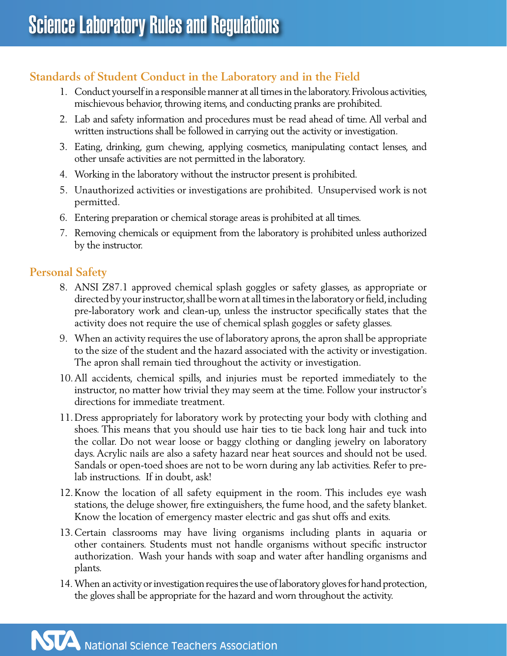## **Standards of Student Conduct in the Laboratory and in the Field**

- 1. Conduct yourself in a responsible manner at all times in the laboratory. Frivolous activities, mischievous behavior, throwing items, and conducting pranks are prohibited.
- 2. Lab and safety information and procedures must be read ahead of time. All verbal and written instructions shall be followed in carrying out the activity or investigation.
- 3. Eating, drinking, gum chewing, applying cosmetics, manipulating contact lenses, and other unsafe activities are not permitted in the laboratory.
- 4. Working in the laboratory without the instructor present is prohibited.
- 5. Unauthorized activities or investigations are prohibited. Unsupervised work is not permitted.
- 6. Entering preparation or chemical storage areas is prohibited at all times.
- 7. Removing chemicals or equipment from the laboratory is prohibited unless authorized by the instructor.

## **Personal Safety**

- 8. ANSI Z87.1 approved chemical splash goggles or safety glasses, as appropriate or directed by your instructor, shall be worn at all times in the laboratory or field, including pre-laboratory work and clean-up, unless the instructor specifically states that the activity does not require the use of chemical splash goggles or safety glasses.
- 9. When an activity requires the use of laboratory aprons, the apron shall be appropriate to the size of the student and the hazard associated with the activity or investigation. The apron shall remain tied throughout the activity or investigation.
- 10.All accidents, chemical spills, and injuries must be reported immediately to the instructor, no matter how trivial they may seem at the time. Follow your instructor's directions for immediate treatment.
- 11.Dress appropriately for laboratory work by protecting your body with clothing and shoes. This means that you should use hair ties to tie back long hair and tuck into the collar. Do not wear loose or baggy clothing or dangling jewelry on laboratory days. Acrylic nails are also a safety hazard near heat sources and should not be used. Sandals or open-toed shoes are not to be worn during any lab activities. Refer to prelab instructions. If in doubt, ask!
- 12.Know the location of all safety equipment in the room. This includes eye wash stations, the deluge shower, fire extinguishers, the fume hood, and the safety blanket. Know the location of emergency master electric and gas shut offs and exits.
- 13.Certain classrooms may have living organisms including plants in aquaria or other containers. Students must not handle organisms without specific instructor authorization. Wash your hands with soap and water after handling organisms and plants.
- 14.When an activity or investigation requires the use of laboratory gloves for hand protection, the gloves shall be appropriate for the hazard and worn throughout the activity.

NTA National Science Teachers Association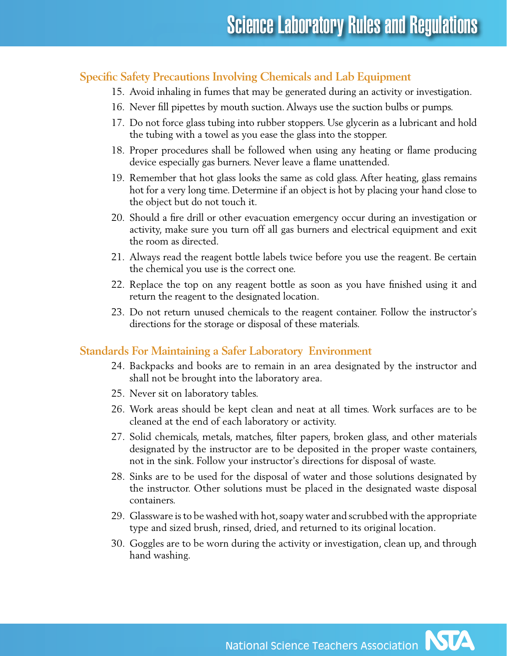#### **Specific Safety Precautions Involving Chemicals and Lab Equipment**

- 15. Avoid inhaling in fumes that may be generated during an activity or investigation.
- 16. Never fill pipettes by mouth suction. Always use the suction bulbs or pumps.
- 17. Do not force glass tubing into rubber stoppers. Use glycerin as a lubricant and hold the tubing with a towel as you ease the glass into the stopper.
- 18. Proper procedures shall be followed when using any heating or flame producing device especially gas burners. Never leave a flame unattended.
- 19. Remember that hot glass looks the same as cold glass. After heating, glass remains hot for a very long time. Determine if an object is hot by placing your hand close to the object but do not touch it.
- 20. Should a fire drill or other evacuation emergency occur during an investigation or activity, make sure you turn off all gas burners and electrical equipment and exit the room as directed.
- 21. Always read the reagent bottle labels twice before you use the reagent. Be certain the chemical you use is the correct one.
- 22. Replace the top on any reagent bottle as soon as you have finished using it and return the reagent to the designated location.
- 23. Do not return unused chemicals to the reagent container. Follow the instructor's directions for the storage or disposal of these materials.

#### **Standards For Maintaining a Safer Laboratory Environment**

- 24. Backpacks and books are to remain in an area designated by the instructor and shall not be brought into the laboratory area.
- 25. Never sit on laboratory tables.
- 26. Work areas should be kept clean and neat at all times. Work surfaces are to be cleaned at the end of each laboratory or activity.
- 27. Solid chemicals, metals, matches, filter papers, broken glass, and other materials designated by the instructor are to be deposited in the proper waste containers, not in the sink. Follow your instructor's directions for disposal of waste.
- 28. Sinks are to be used for the disposal of water and those solutions designated by the instructor. Other solutions must be placed in the designated waste disposal containers.
- 29. Glassware is to be washed with hot, soapy water and scrubbed with the appropriate type and sized brush, rinsed, dried, and returned to its original location.
- 30. Goggles are to be worn during the activity or investigation, clean up, and through hand washing.

National Science Teachers Association